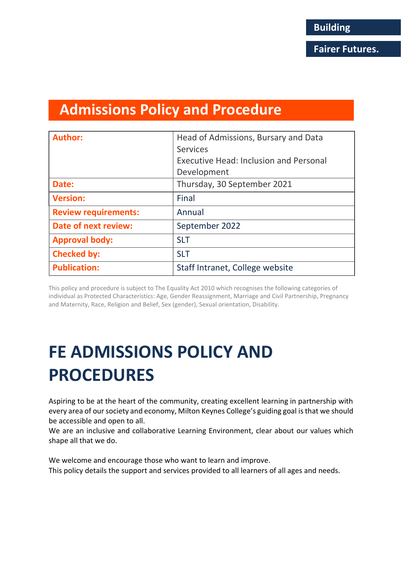## **Admissions Policy and Procedure**

| <b>Author:</b>              | Head of Admissions, Bursary and Data          |
|-----------------------------|-----------------------------------------------|
|                             | <b>Services</b>                               |
|                             | <b>Executive Head: Inclusion and Personal</b> |
|                             | Development                                   |
| Date:                       | Thursday, 30 September 2021                   |
| <b>Version:</b>             | Final                                         |
| <b>Review requirements:</b> | Annual                                        |
| <b>Date of next review:</b> | September 2022                                |
| <b>Approval body:</b>       | <b>SLT</b>                                    |
| <b>Checked by:</b>          | <b>SLT</b>                                    |
| <b>Publication:</b>         | Staff Intranet, College website               |

This policy and procedure is subject to The Equality Act 2010 which recognises the following categories of individual as Protected Characteristics: Age, Gender Reassignment, Marriage and Civil Partnership, Pregnancy and Maternity, Race, Religion and Belief, Sex (gender), Sexual orientation, Disability.

# **FE ADMISSIONS POLICY AND PROCEDURES**

Aspiring to be at the heart of the community, creating excellent learning in partnership with every area of our society and economy, Milton Keynes College's guiding goal is that we should be accessible and open to all.

We are an inclusive and collaborative Learning Environment, clear about our values which shape all that we do.

We welcome and encourage those who want to learn and improve. This policy details the support and services provided to all learners of all ages and needs.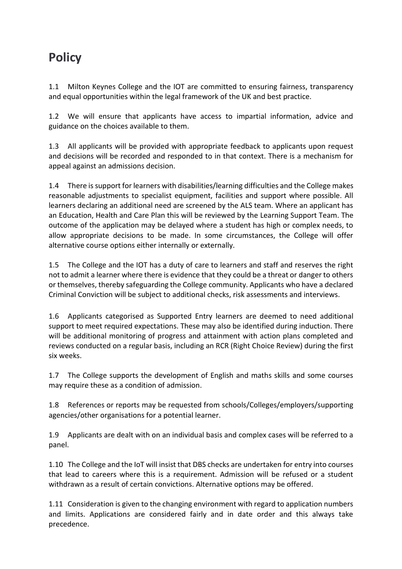## **Policy**

1.1 Milton Keynes College and the IOT are committed to ensuring fairness, transparency and equal opportunities within the legal framework of the UK and best practice.

1.2 We will ensure that applicants have access to impartial information, advice and guidance on the choices available to them.

1.3 All applicants will be provided with appropriate feedback to applicants upon request and decisions will be recorded and responded to in that context. There is a mechanism for appeal against an admissions decision.

1.4 There is support for learners with disabilities/learning difficulties and the College makes reasonable adjustments to specialist equipment, facilities and support where possible. All learners declaring an additional need are screened by the ALS team. Where an applicant has an Education, Health and Care Plan this will be reviewed by the Learning Support Team. The outcome of the application may be delayed where a student has high or complex needs, to allow appropriate decisions to be made. In some circumstances, the College will offer alternative course options either internally or externally.

1.5 The College and the IOT has a duty of care to learners and staff and reserves the right not to admit a learner where there is evidence that they could be a threat or danger to others or themselves, thereby safeguarding the College community. Applicants who have a declared Criminal Conviction will be subject to additional checks, risk assessments and interviews.

1.6 Applicants categorised as Supported Entry learners are deemed to need additional support to meet required expectations. These may also be identified during induction. There will be additional monitoring of progress and attainment with action plans completed and reviews conducted on a regular basis, including an RCR (Right Choice Review) during the first six weeks.

1.7 The College supports the development of English and maths skills and some courses may require these as a condition of admission.

1.8 References or reports may be requested from schools/Colleges/employers/supporting agencies/other organisations for a potential learner.

1.9 Applicants are dealt with on an individual basis and complex cases will be referred to a panel.

1.10 The College and the IoT will insist that DBS checks are undertaken for entry into courses that lead to careers where this is a requirement. Admission will be refused or a student withdrawn as a result of certain convictions. Alternative options may be offered.

1.11 Consideration is given to the changing environment with regard to application numbers and limits. Applications are considered fairly and in date order and this always take precedence.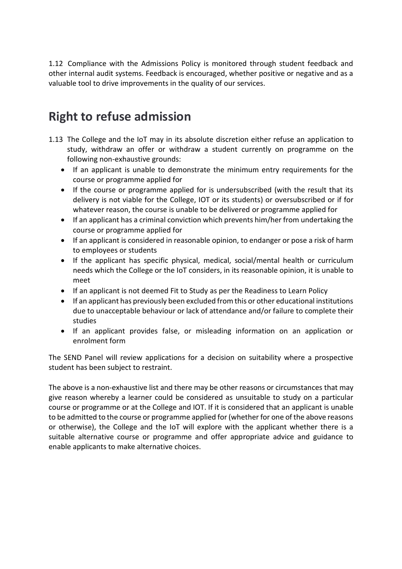1.12 Compliance with the Admissions Policy is monitored through student feedback and other internal audit systems. Feedback is encouraged, whether positive or negative and as a valuable tool to drive improvements in the quality of our services.

## **Right to refuse admission**

- 1.13 The College and the IoT may in its absolute discretion either refuse an application to study, withdraw an offer or withdraw a student currently on programme on the following non-exhaustive grounds:
	- If an applicant is unable to demonstrate the minimum entry requirements for the course or programme applied for
	- If the course or programme applied for is undersubscribed (with the result that its delivery is not viable for the College, IOT or its students) or oversubscribed or if for whatever reason, the course is unable to be delivered or programme applied for
	- If an applicant has a criminal conviction which prevents him/her from undertaking the course or programme applied for
	- If an applicant is considered in reasonable opinion, to endanger or pose a risk of harm to employees or students
	- If the applicant has specific physical, medical, social/mental health or curriculum needs which the College or the IoT considers, in its reasonable opinion, it is unable to meet
	- If an applicant is not deemed Fit to Study as per the Readiness to Learn Policy
	- If an applicant has previously been excluded from this or other educational institutions due to unacceptable behaviour or lack of attendance and/or failure to complete their studies
	- If an applicant provides false, or misleading information on an application or enrolment form

The SEND Panel will review applications for a decision on suitability where a prospective student has been subject to restraint.

The above is a non-exhaustive list and there may be other reasons or circumstances that may give reason whereby a learner could be considered as unsuitable to study on a particular course or programme or at the College and IOT. If it is considered that an applicant is unable to be admitted to the course or programme applied for (whether for one of the above reasons or otherwise), the College and the IoT will explore with the applicant whether there is a suitable alternative course or programme and offer appropriate advice and guidance to enable applicants to make alternative choices.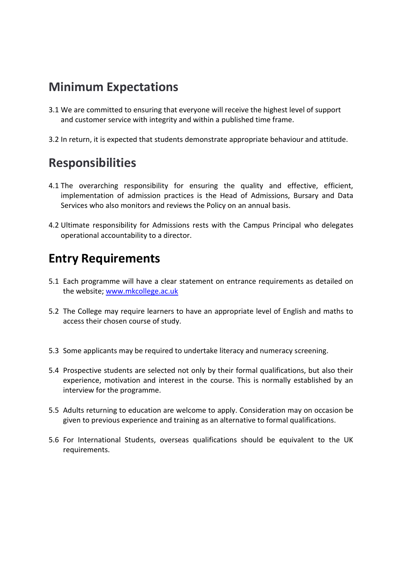#### **Minimum Expectations**

- 3.1 We are committed to ensuring that everyone will receive the highest level of support and customer service with integrity and within a published time frame.
- 3.2 In return, it is expected that students demonstrate appropriate behaviour and attitude.

### **Responsibilities**

- 4.1 The overarching responsibility for ensuring the quality and effective, efficient, implementation of admission practices is the Head of Admissions, Bursary and Data Services who also monitors and reviews the Policy on an annual basis.
- 4.2 Ultimate responsibility for Admissions rests with the Campus Principal who delegates operational accountability to a director.

## **Entry Requirements**

- 5.1 Each programme will have a clear statement on entrance requirements as detailed on the website; [www.mkcollege.ac.uk](http://www.mkcollege.ac.uk/)
- 5.2 The College may require learners to have an appropriate level of English and maths to access their chosen course of study.
- 5.3 Some applicants may be required to undertake literacy and numeracy screening.
- 5.4 Prospective students are selected not only by their formal qualifications, but also their experience, motivation and interest in the course. This is normally established by an interview for the programme.
- 5.5 Adults returning to education are welcome to apply. Consideration may on occasion be given to previous experience and training as an alternative to formal qualifications.
- 5.6 For International Students, overseas qualifications should be equivalent to the UK requirements.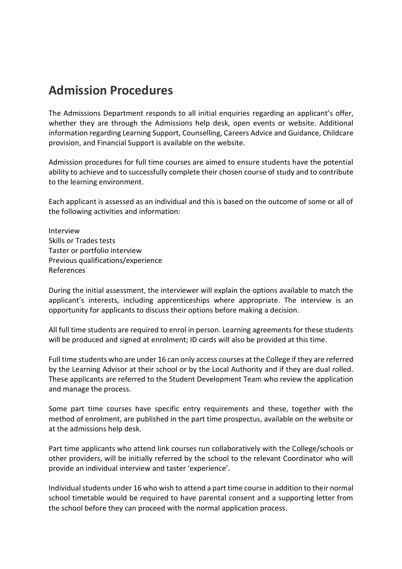#### **Admission Procedures**

The Admissions Department responds to all initial enquiries regarding an applicant's offer, whether they are through the Admissions help desk, open events or website. Additional information regarding Learning Support, Counselling, Careers Advice and Guidance, Childcare provision, and Financial Support is available on the website.

Admission procedures for full time courses are aimed to ensure students have the potential ability to achieve and to successfully complete their chosen course of study and to contribute to the learning environment.

Each applicant is assessed as an individual and this is based on the outcome of some or all of the following activities and information:

Interview Skills or Trades tests Taster or portfolio interview Previous qualifications/experience References

During the initial assessment, the interviewer will explain the options available to match the applicant's interests, including apprenticeships where appropriate. The interview is an opportunity for applicants to discuss their options before making a decision.

All full time students are required to enrol in person. Learning agreements for these students will be produced and signed at enrolment; ID cards will also be provided at this time.

Full time students who are under 16 can only access courses at the College if they are referred by the Learning Advisor at their school or by the Local Authority and if they are dual rolled. These applicants are referred to the Student Development Team who review the application and manage the process.

Some part time courses have specific entry requirements and these, together with the method of enrolment, are published in the part time prospectus, available on the website or at the admissions help desk.

Part time applicants who attend link courses run collaboratively with the College/schools or other providers, will be initially referred by the school to the relevant Coordinator who will provide an individual interview and taster 'experience'.

Individual students under 16 who wish to attend a part time course in addition to their normal school timetable would be required to have parental consent and a supporting letter from the school before they can proceed with the normal application process.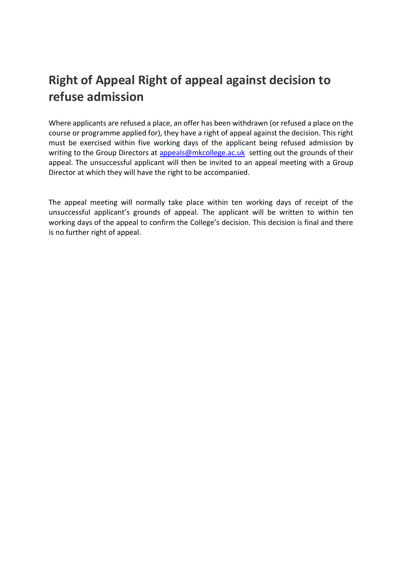## **Right of Appeal Right of appeal against decision to refuse admission**

Where applicants are refused a place, an offer has been withdrawn (or refused a place on the course or programme applied for), they have a right of appeal against the decision. This right must be exercised within five working days of the applicant being refused admission by writing to the Group Directors at [appeals@mkcollege.ac.uk](mailto:appeals@mkcollege.ac.uk) setting out the grounds of their appeal. The unsuccessful applicant will then be invited to an appeal meeting with a Group Director at which they will have the right to be accompanied.

The appeal meeting will normally take place within ten working days of receipt of the unsuccessful applicant's grounds of appeal. The applicant will be written to within ten working days of the appeal to confirm the College's decision. This decision is final and there is no further right of appeal.